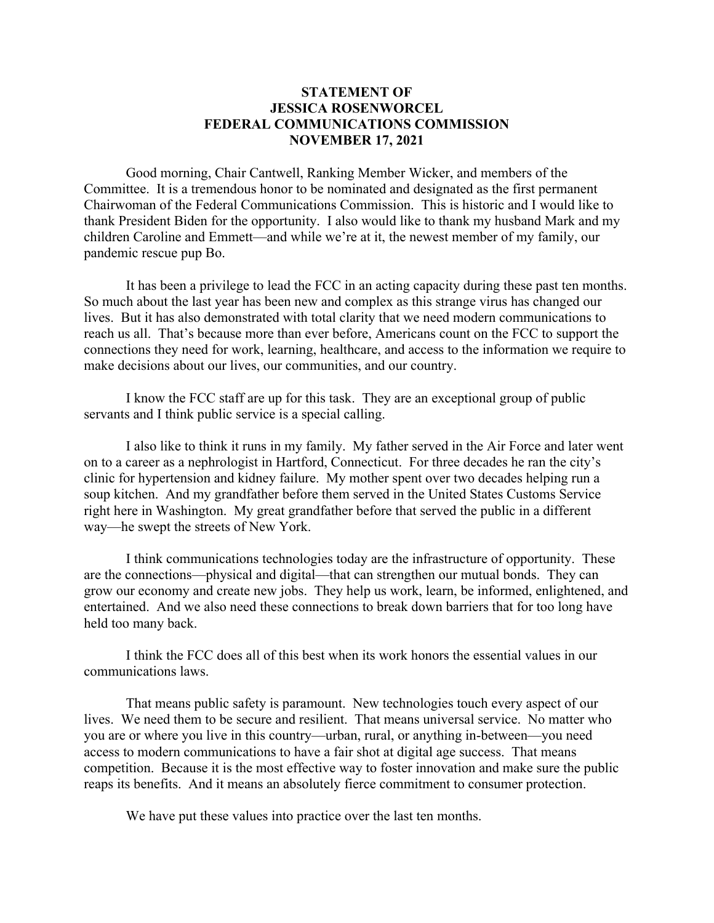## **STATEMENT OF JESSICA ROSENWORCEL FEDERAL COMMUNICATIONS COMMISSION NOVEMBER 17, 2021**

Good morning, Chair Cantwell, Ranking Member Wicker, and members of the Committee. It is a tremendous honor to be nominated and designated as the first permanent Chairwoman of the Federal Communications Commission. This is historic and I would like to thank President Biden for the opportunity. I also would like to thank my husband Mark and my children Caroline and Emmett—and while we're at it, the newest member of my family, our pandemic rescue pup Bo.

It has been a privilege to lead the FCC in an acting capacity during these past ten months. So much about the last year has been new and complex as this strange virus has changed our lives. But it has also demonstrated with total clarity that we need modern communications to reach us all. That's because more than ever before, Americans count on the FCC to support the connections they need for work, learning, healthcare, and access to the information we require to make decisions about our lives, our communities, and our country.

I know the FCC staff are up for this task. They are an exceptional group of public servants and I think public service is a special calling.

I also like to think it runs in my family. My father served in the Air Force and later went on to a career as a nephrologist in Hartford, Connecticut. For three decades he ran the city's clinic for hypertension and kidney failure. My mother spent over two decades helping run a soup kitchen. And my grandfather before them served in the United States Customs Service right here in Washington. My great grandfather before that served the public in a different way—he swept the streets of New York.

I think communications technologies today are the infrastructure of opportunity. These are the connections—physical and digital—that can strengthen our mutual bonds. They can grow our economy and create new jobs. They help us work, learn, be informed, enlightened, and entertained. And we also need these connections to break down barriers that for too long have held too many back.

I think the FCC does all of this best when its work honors the essential values in our communications laws.

That means public safety is paramount. New technologies touch every aspect of our lives. We need them to be secure and resilient. That means universal service. No matter who you are or where you live in this country—urban, rural, or anything in-between—you need access to modern communications to have a fair shot at digital age success. That means competition. Because it is the most effective way to foster innovation and make sure the public reaps its benefits. And it means an absolutely fierce commitment to consumer protection.

We have put these values into practice over the last ten months.